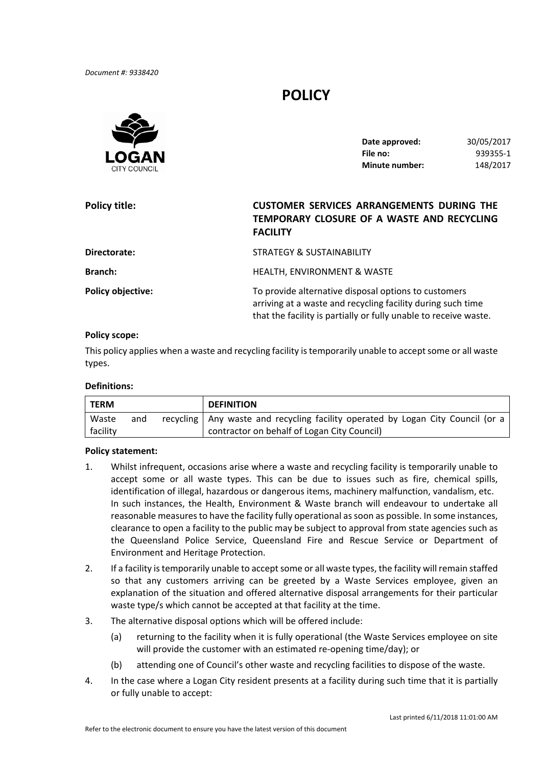*Document #: 9338420*

# **POLICY**



| Date approved:        | 30/05/2017 |
|-----------------------|------------|
| File no:              | 939355-1   |
| <b>Minute number:</b> | 148/2017   |

| Policy title:            | <b>CUSTOMER SERVICES ARRANGEMENTS DURING THE</b><br>TEMPORARY CLOSURE OF A WASTE AND RECYCLING<br><b>FACILITY</b>                                                                       |
|--------------------------|-----------------------------------------------------------------------------------------------------------------------------------------------------------------------------------------|
| Directorate:             | <b>STRATEGY &amp; SUSTAINABILITY</b>                                                                                                                                                    |
| <b>Branch:</b>           | HEALTH, ENVIRONMENT & WASTE                                                                                                                                                             |
| <b>Policy objective:</b> | To provide alternative disposal options to customers<br>arriving at a waste and recycling facility during such time<br>that the facility is partially or fully unable to receive waste. |

### **Policy scope:**

This policy applies when a waste and recycling facility is temporarily unable to accept some or all waste types.

#### **Definitions:**

| <b>TERM</b> |     | <b>DEFINITION</b>                                                                 |
|-------------|-----|-----------------------------------------------------------------------------------|
| Waste       | and | recycling   Any waste and recycling facility operated by Logan City Council (or a |
| facility    |     | contractor on behalf of Logan City Council)                                       |

#### **Policy statement:**

- 1. Whilst infrequent, occasions arise where a waste and recycling facility is temporarily unable to accept some or all waste types. This can be due to issues such as fire, chemical spills, identification of illegal, hazardous or dangerous items, machinery malfunction, vandalism, etc. In such instances, the Health, Environment & Waste branch will endeavour to undertake all reasonable measures to have the facility fully operational as soon as possible. In some instances, clearance to open a facility to the public may be subject to approval from state agencies such as the Queensland Police Service, Queensland Fire and Rescue Service or Department of Environment and Heritage Protection.
- 2. If a facility is temporarily unable to accept some or all waste types, the facility will remain staffed so that any customers arriving can be greeted by a Waste Services employee, given an explanation of the situation and offered alternative disposal arrangements for their particular waste type/s which cannot be accepted at that facility at the time.
- 3. The alternative disposal options which will be offered include:
	- (a) returning to the facility when it is fully operational (the Waste Services employee on site will provide the customer with an estimated re‐opening time/day); or
	- (b) attending one of Council's other waste and recycling facilities to dispose of the waste.
- 4. In the case where a Logan City resident presents at a facility during such time that it is partially or fully unable to accept: